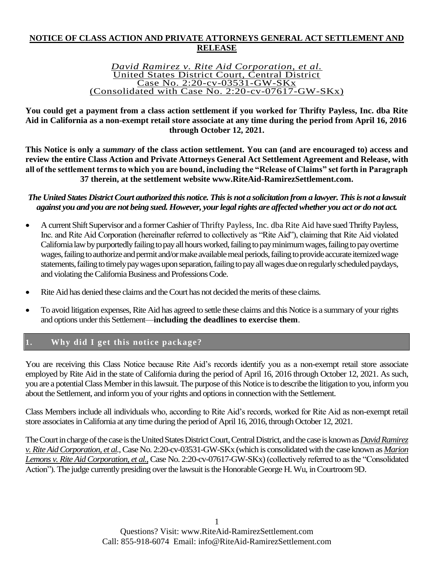## **NOTICE OF CLASS ACTION AND PRIVATE ATTORNEYS GENERAL ACT SETTLEMENT AND RELEASE**

#### *David Ramirez v. Rite Aid Corporation, et al.* United States District Court, Central District Case No. 2:20-cv-03531-GW-SKx (Consolidated with Case No. 2:20-cv-07617-GW-SKx)

**You could get a payment from a class action settlement if you worked for Thrifty Payless, Inc. dba Rite Aid in California as a non-exempt retail store associate at any time during the period from April 16, 2016 through October 12, 2021.**

**This Notice is only a** *summary* **of the class action settlement. You can (and are encouraged to) access and review the entire Class Action and Private Attorneys General Act Settlement Agreement and Release, with all of the settlement terms to which you are bound, including the "Release of Claims" set forth in Paragraph 37 therein, at the settlement website www.RiteAid-RamirezSettlement.com.**

#### *The United States District Court authorized this notice. This is not a solicitation from a lawyer. This is not a lawsuit against you and you are not being sued. However, your legal rights are affected whether you act or do not act.*

- A current Shift Supervisor and a former Cashier of Thrifty Payless, Inc. dba Rite Aid have sued Thrifty Payless, Inc. and Rite Aid Corporation (hereinafter referred to collectively as "Rite Aid"), claiming that Rite Aid violated California law by purportedly failing to pay all hours worked, failing to pay minimum wages, failing to pay overtime wages, failing to authorize and permit and/or make available meal periods, failing to provide accurate itemized wage statements,failing to timely pay wages upon separation, failing to pay all wages due on regularly scheduled paydays, and violating the California Business and Professions Code.
- Rite Aid has denied these claims and the Court has not decided the merits of these claims.
- To avoid litigation expenses, Rite Aid has agreed to settle these claims and this Notice is a summary of your rights and options under this Settlement—**including the deadlines to exercise them**.

# **1. Why did I get this notice package?**

You are receiving this Class Notice because Rite Aid's records identify you as a non-exempt retail store associate employed by Rite Aid in the state of California during the period of April 16, 2016 through October 12, 2021. As such, you are a potential Class Member in this lawsuit.The purpose of this Notice is to describe the litigation to you, inform you about the Settlement, and inform you of your rights and options in connection with the Settlement.

Class Members include all individuals who, according to Rite Aid's records, worked for Rite Aid as non-exempt retail store associates in California at any time during the period of April 16, 2016, through October 12, 2021.

The Court in charge of the case is the United States District Court, Central District, and the case is known as *David Ramirez v. Rite Aid Corporation, et al.*, Case No. 2:20-cv-03531-GW-SKx (which is consolidated with the case known as *Marion Lemons v. Rite Aid Corporation, et al.*,Case No. 2:20-cv-07617-GW-SKx) (collectively referred to as the "Consolidated Action")*.*The judge currently presiding over the lawsuit is the Honorable George H. Wu, in Courtroom 9D.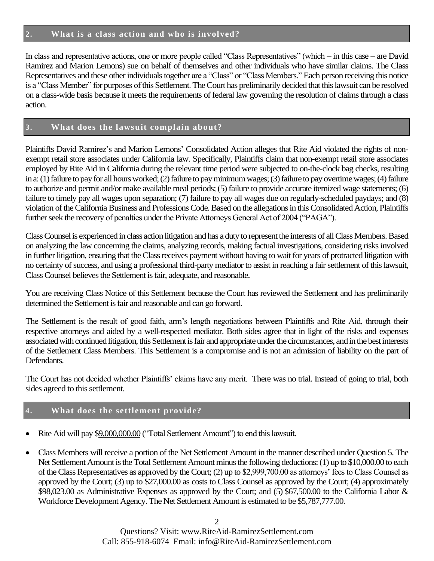In class and representative actions, one or more people called "Class Representatives" (which – in this case – are David Ramirez and Marion Lemons) sue on behalf of themselves and other individuals who have similar claims. The Class Representatives and these other individuals together are a "Class" or "Class Members." Each person receiving this notice is a "Class Member" for purposes of this Settlement.The Court has preliminarily decided that this lawsuit can be resolved on a class-wide basis because it meets the requirements of federal law governing the resolution of claims through a class action.

## **3. What does the lawsuit complain about?**

Plaintiffs David Ramirez's and Marion Lemons' Consolidated Action alleges that Rite Aid violated the rights of nonexempt retail store associates under California law. Specifically, Plaintiffs claim that non-exempt retail store associates employed by Rite Aid in California during the relevant time period were subjected to on-the-clock bag checks, resulting in a: (1) failure to pay for all hours worked; (2) failure to pay minimum wages; (3) failure to pay overtime wages; (4) failure to authorize and permit and/or make available meal periods; (5) failure to provide accurate itemized wage statements; (6) failure to timely pay all wages upon separation; (7) failure to pay all wages due on regularly-scheduled paydays; and (8) violation of the California Business and Professions Code.Based on the allegations in this Consolidated Action, Plaintiffs further seek the recovery of penalties under the Private Attorneys General Act of 2004 ("PAGA").

Class Counsel is experienced in class action litigation and has a duty to represent the interests of all Class Members.Based on analyzing the law concerning the claims, analyzing records, making factual investigations, considering risks involved in further litigation, ensuring that the Class receives payment without having to wait for years of protracted litigation with no certainty of success, and using a professional third-party mediator to assist in reaching a fair settlement of this lawsuit, Class Counsel believes the Settlement is fair, adequate, and reasonable.

You are receiving Class Notice of this Settlement because the Court has reviewed the Settlement and has preliminarily determined the Settlement is fair and reasonable and can go forward.

The Settlement is the result of good faith, arm's length negotiations between Plaintiffs and Rite Aid, through their respective attorneys and aided by a well-respected mediator. Both sides agree that in light of the risks and expenses associated with continued litigation, this Settlement is fair and appropriate under the circumstances, and in the best interests of the Settlement Class Members. This Settlement is a compromise and is not an admission of liability on the part of Defendants.

The Court has not decided whether Plaintiffs' claims have any merit. There was no trial. Instead of going to trial, both sides agreed to this settlement.

# **4. What does the settlement provide?**

- Rite Aid will pay \$9,000,000.00 ("Total Settlement Amount") to end this lawsuit.
- Class Members will receive a portion of the Net Settlement Amount in the manner described under Question 5. The Net Settlement Amount is the Total Settlement Amount minus the following deductions: (1) up to \$10,000.00 to each of the Class Representatives as approved by the Court; (2) up to \$2,999,700.00 as attorneys' fees to Class Counsel as approved by the Court; (3) up to \$27,000.00 as costs to Class Counsel as approved by the Court; (4) approximately \$98,023.00 as Administrative Expenses as approved by the Court; and (5) \$67,500.00 to the California Labor & Workforce Development Agency. The Net Settlement Amount is estimated to be \$5,787,777.00.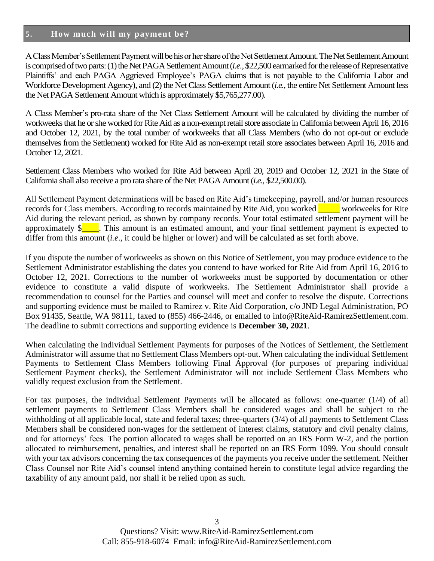#### **5. How much will my payment be?**

A Class Member's Settlement Payment will be his or her share of the Net Settlement Amount.The Net Settlement Amount is comprised of two parts: (1) the Net PAGA Settlement Amount (*i.e.,* \$22,500 earmarked for the release of Representative Plaintiffs' and each PAGA Aggrieved Employee's PAGA claims that is not payable to the California Labor and Workforce Development Agency), and (2) the Net Class Settlement Amount (*i.e.,* the entire Net Settlement Amount less the Net PAGA Settlement Amount which is approximately \$5,765,277.00).

A Class Member's pro-rata share of the Net Class Settlement Amount will be calculated by dividing the number of workweeks that he or she worked for Rite Aid as a non-exempt retail store associate in California between April 16, 2016 and October 12, 2021, by the total number of workweeks that all Class Members (who do not opt-out or exclude themselves from the Settlement) worked for Rite Aid as non-exempt retail store associates between April 16, 2016 and October 12, 2021.

Settlement Class Members who worked for Rite Aid between April 20, 2019 and October 12, 2021 in the State of California shall also receive a pro rata share of the Net PAGA Amount (*i.e.*, \$22,500.00).

All Settlement Payment determinations will be based on Rite Aid's timekeeping, payroll, and/or human resources records for Class members. According to records maintained by Rite Aid, you worked \_\_\_\_\_ workweeks for Rite Aid during the relevant period, as shown by company records. Your total estimated settlement payment will be approximately  $\frac{1}{2}$ . This amount is an estimated amount, and your final settlement payment is expected to differ from this amount (*i.e*., it could be higher or lower) and will be calculated as set forth above.

If you dispute the number of workweeks as shown on this Notice of Settlement, you may produce evidence to the Settlement Administrator establishing the dates you contend to have worked for Rite Aid from April 16, 2016 to October 12, 2021. Corrections to the number of workweeks must be supported by documentation or other evidence to constitute a valid dispute of workweeks. The Settlement Administrator shall provide a recommendation to counsel for the Parties and counsel will meet and confer to resolve the dispute. Corrections and supporting evidence must be mailed to Ramirez v. Rite Aid Corporation, c/o JND Legal Administration, PO Box 91435, Seattle, WA 98111, faxed to (855) 466-2446, or emailed to info@RiteAid-RamirezSettlement.com. The deadline to submit corrections and supporting evidence is **December 30, 2021**.

When calculating the individual Settlement Payments for purposes of the Notices of Settlement, the Settlement Administrator will assume that no Settlement Class Members opt-out. When calculating the individual Settlement Payments to Settlement Class Members following Final Approval (for purposes of preparing individual Settlement Payment checks), the Settlement Administrator will not include Settlement Class Members who validly request exclusion from the Settlement.

For tax purposes, the individual Settlement Payments will be allocated as follows: one-quarter (1/4) of all settlement payments to Settlement Class Members shall be considered wages and shall be subject to the withholding of all applicable local, state and federal taxes; three-quarters (3/4) of all payments to Settlement Class Members shall be considered non-wages for the settlement of interest claims, statutory and civil penalty claims, and for attorneys' fees. The portion allocated to wages shall be reported on an IRS Form W-2, and the portion allocated to reimbursement, penalties, and interest shall be reported on an IRS Form 1099. You should consult with your tax advisors concerning the tax consequences of the payments you receive under the settlement. Neither Class Counsel nor Rite Aid's counsel intend anything contained herein to constitute legal advice regarding the taxability of any amount paid, nor shall it be relied upon as such.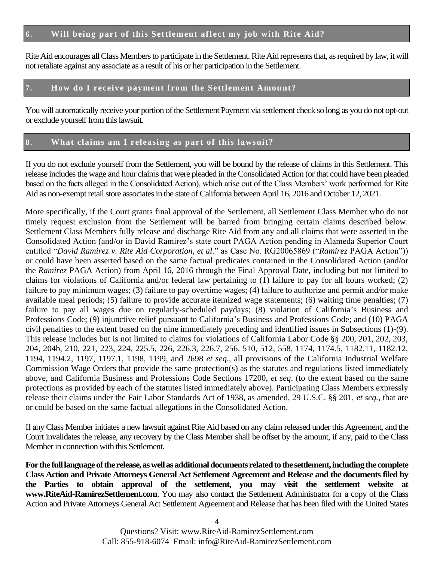## **6. Will being part of this Settlement affect my job with Rite Aid?**

Rite Aid encourages all Class Members to participate in the Settlement. Rite Aid represents that, as required by law, it will not retaliate against any associate as a result of his or her participation in the Settlement.

#### **7. How do I receive payment from the Settlement Amount?**

You will automatically receive your portion of the Settlement Payment via settlement check so long as you do not opt-out or exclude yourself from this lawsuit.

#### **8. What claims am I releasing as part of this lawsuit?**

If you do not exclude yourself from the Settlement, you will be bound by the release of claims in this Settlement. This release includes the wage and hour claims that were pleaded in the Consolidated Action (or that could have been pleaded based on the facts alleged in the Consolidated Action), which arise out of the Class Members' work performed for Rite Aid as non-exempt retail store associates in the state of California between April 16, 2016 and October 12, 2021.

More specifically, if the Court grants final approval of the Settlement, all Settlement Class Member who do not timely request exclusion from the Settlement will be barred from bringing certain claims described below. Settlement Class Members fully release and discharge Rite Aid from any and all claims that were asserted in the Consolidated Action (and/or in David Ramirez's state court PAGA Action pending in Alameda Superior Court entitled "*David Ramirez v. Rite Aid Corporation, et al.*" as Case No. RG20065869 ("*Ramirez* PAGA Action")) or could have been asserted based on the same factual predicates contained in the Consolidated Action (and/or the *Ramirez* PAGA Action) from April 16, 2016 through the Final Approval Date, including but not limited to claims for violations of California and/or federal law pertaining to (1) failure to pay for all hours worked; (2) failure to pay minimum wages; (3) failure to pay overtime wages; (4) failure to authorize and permit and/or make available meal periods; (5) failure to provide accurate itemized wage statements; (6) waiting time penalties; (7) failure to pay all wages due on regularly-scheduled paydays; (8) violation of California's Business and Professions Code; (9) injunctive relief pursuant to California's Business and Professions Code; and (10) PAGA civil penalties to the extent based on the nine immediately preceding and identified issues in Subsections (1)-(9). This release includes but is not limited to claims for violations of California Labor Code §§ 200, 201, 202, 203, 204, 204b, 210, 221, 223, 224, 225.5, 226, 226.3, 226.7, 256, 510, 512, 558, 1174, 1174.5, 1182.11, 1182.12, 1194, 1194.2, 1197, 1197.1, 1198, 1199, and 2698 *et seq.*, all provisions of the California Industrial Welfare Commission Wage Orders that provide the same protection(s) as the statutes and regulations listed immediately above, and California Business and Professions Code Sections 17200, *et seq*. (to the extent based on the same protections as provided by each of the statutes listed immediately above). Participating Class Members expressly release their claims under the Fair Labor Standards Act of 1938, as amended, 29 U.S.C. §§ 201, *et seq.,* that are or could be based on the same factual allegations in the Consolidated Action.

If any Class Member initiates a new lawsuit against Rite Aid based on any claim released under this Agreement, and the Court invalidates the release, any recovery by the Class Member shall be offset by the amount, if any, paid to the Class Member in connection with this Settlement.

**For the full language of the release, as well as additional documents related to the settlement, including the complete Class Action and Private Attorneys General Act Settlement Agreement and Release and the documents filed by the Parties to obtain approval of the settlement, you may visit the settlement website at www.RiteAid-RamirezSettlement.com**. You may also contact the Settlement Administrator for a copy of the Class Action and Private Attorneys General Act Settlement Agreement and Release that has been filed with the United States

> Questions? Visit: www.RiteAid-RamirezSettlement.com Call: 855-918-6074 Email: info@RiteAid-RamirezSettlement.com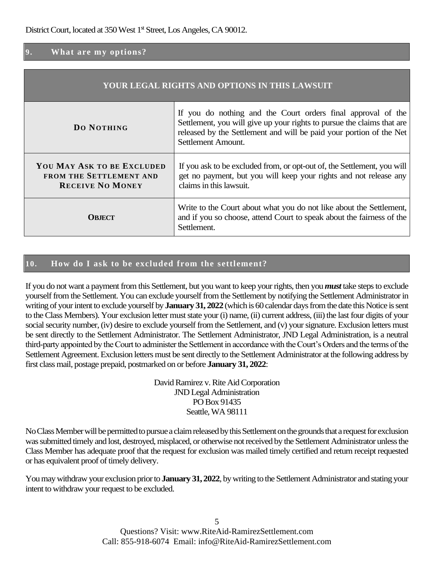## **9. What are my options?**

| YOUR LEGAL RIGHTS AND OPTIONS IN THIS LAWSUIT                                           |                                                                                                                                                                                                                                     |  |
|-----------------------------------------------------------------------------------------|-------------------------------------------------------------------------------------------------------------------------------------------------------------------------------------------------------------------------------------|--|
| DO NOTHING                                                                              | If you do nothing and the Court orders final approval of the<br>Settlement, you will give up your rights to pursue the claims that are<br>released by the Settlement and will be paid your portion of the Net<br>Settlement Amount. |  |
| YOU MAY ASK TO BE EXCLUDED<br><b>FROM THE SETTLEMENT AND</b><br><b>RECEIVE NO MONEY</b> | If you ask to be excluded from, or opt-out of, the Settlement, you will<br>get no payment, but you will keep your rights and not release any<br>claims in this lawsuit.                                                             |  |
| <b>ORIECT</b>                                                                           | Write to the Court about what you do not like about the Settlement,<br>and if you so choose, attend Court to speak about the fairness of the<br>Settlement.                                                                         |  |

### **10. How do I ask to be excluded from the settlement?**

If you do not want a payment from this Settlement, but you want to keep your rights, then you *must* take steps to exclude yourself from the Settlement. You can exclude yourself from the Settlement by notifying the Settlement Administrator in writing of your intent to exclude yourself by **January 31, 2022** (which is 60 calendar days from the date this Notice is sent to the Class Members). Your exclusion letter must state your (i) name, (ii) current address, (iii) the last four digits of your social security number, (iv) desire to exclude yourself from the Settlement, and (v) your signature. Exclusion letters must be sent directly to the Settlement Administrator. The Settlement Administrator, JND Legal Administration, is a neutral third-party appointed by the Court to administer the Settlement in accordance with the Court's Orders and the terms of the Settlement Agreement. Exclusion letters must be sent directly to the Settlement Administrator at the following address by first class mail, postage prepaid, postmarked on or before **January 31, 2022**:

> David Ramirez v. Rite Aid Corporation JND Legal Administration PO Box 91435 Seattle, WA 98111

No Class Member will be permitted to pursue a claim released by this Settlement on the grounds that a request for exclusion was submitted timely and lost, destroyed, misplaced, or otherwise not received by the Settlement Administrator unless the Class Member has adequate proof that the request for exclusion was mailed timely certified and return receipt requested or has equivalent proof of timely delivery.

You may withdraw your exclusion prior to **January 31, 2022**, by writing to the Settlement Administrator and stating your intent to withdraw your request to be excluded.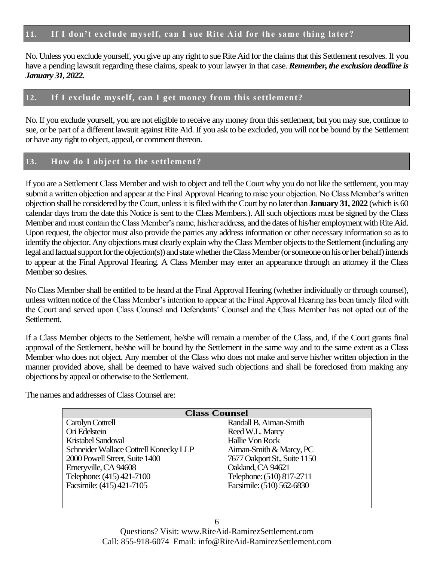## **11. If I don't exclude myself, can I sue Rite Aid for the same thing later?**

No. Unless you exclude yourself, you give up any right to sue Rite Aid for the claims that this Settlement resolves. If you have a pending lawsuit regarding these claims, speak to your lawyer in that case. *Remember, the exclusion deadline is January 31, 2022.*

## **12. If I exclude myself, can I get money from this settlement?**

No. If you exclude yourself, you are not eligible to receive any money from this settlement, but you may sue, continue to sue, or be part of a different lawsuit against Rite Aid. If you ask to be excluded, you will not be bound by the Settlement or have any right to object, appeal, or comment thereon.

### **13. How do I object to the settlement?**

If you are a Settlement Class Member and wish to object and tell the Court why you do not like the settlement, you may submit a written objection and appear at the Final Approval Hearing to raise your objection. No Class Member's written objection shall be considered by the Court, unless it isfiled with the Court by no later than **January 31, 2022** (which is 60 calendar days from the date this Notice is sent to the Class Members.). All such objections must be signed by the Class Member and must contain the Class Member's name, his/her address, and the dates of his/her employment with Rite Aid. Upon request, the objector must also provide the parties any address information or other necessary information so as to identify the objector.Any objections must clearly explain why the Class Member objects to the Settlement (including any legal and factual support for the objection(s)) and state whether the Class Member (or someone on his or her behalf) intends to appear at the Final Approval Hearing. A Class Member may enter an appearance through an attorney if the Class Member so desires.

No Class Member shall be entitled to be heard at the Final Approval Hearing (whether individually or through counsel), unless written notice of the Class Member's intention to appear at the Final Approval Hearing has been timely filed with the Court and served upon Class Counsel and Defendants' Counsel and the Class Member has not opted out of the Settlement.

If a Class Member objects to the Settlement, he/she will remain a member of the Class, and, if the Court grants final approval of the Settlement, he/she will be bound by the Settlement in the same way and to the same extent as a Class Member who does not object. Any member of the Class who does not make and serve his/her written objection in the manner provided above, shall be deemed to have waived such objections and shall be foreclosed from making any objections by appeal or otherwise to the Settlement.

The names and addresses of Class Counsel are:

| <b>Class Counsel</b>                   |                              |
|----------------------------------------|------------------------------|
| Carolyn Cottrell                       | Randall B. Aiman-Smith       |
| Ori Edelstein                          | Reed W.L. Marcy              |
| <b>Kristabel Sandoval</b>              | Hallie Von Rock              |
| Schneider Wallace Cottrell Konecky LLP | Aiman-Smith & Marcy, PC      |
| 2000 Powell Street, Suite 1400         | 7677 Oakport St., Suite 1150 |
| Emeryville, CA 94608                   | Oakland, CA 94621            |
| Telephone: (415) 421-7100              | Telephone: (510) 817-2711    |
| Facsimile: (415) 421-7105              | Facsimile: (510) 562-6830    |
|                                        |                              |
|                                        |                              |